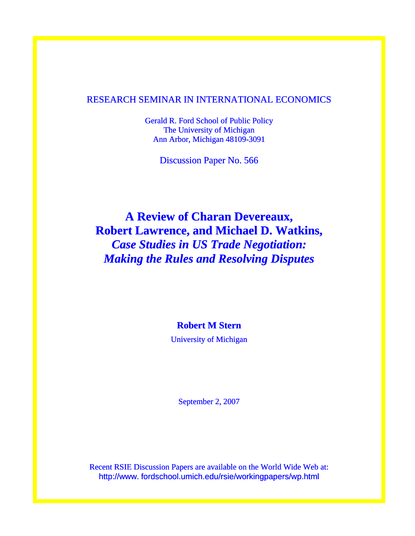# RESEARCH SEMINAR IN INTERNATIONAL ECONOMICS

Gerald R. Ford School of Public Policy The University of Michigan Ann Arbor, Michigan 48109-3091

Discussion Paper No. 566

**A Review of Charan Devereaux, Robert Lawrence, and Michael D. Watkins,**  *Case Studies in US Trade Negotiation: Making the Rules and Resolving Disputes* 

**Robert M Stern** 

University of Michigan

September 2, 2007

Recent RSIE Discussion Papers are available on the World Wide Web at: http://www. fordschool.umich.edu/rsie/workingpapers/wp.html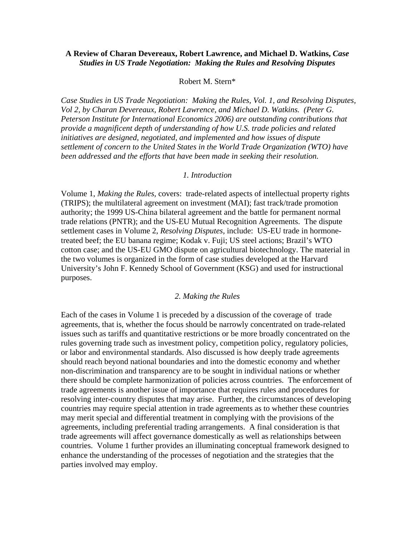## **A Review of Charan Devereaux, Robert Lawrence, and Michael D. Watkins,** *Case Studies in US Trade Negotiation: Making the Rules and Resolving Disputes*

#### Robert M. Stern\*

*Case Studies in US Trade Negotiation: Making the Rules, Vol. 1, and Resolving Disputes, Vol 2, by Charan Devereaux, Robert Lawrence, and Michael D. Watkins. (Peter G. Peterson Institute for International Economics 2006) are outstanding contributions that provide a magnificent depth of understanding of how U.S. trade policies and related initiatives are designed, negotiated, and implemented and how issues of dispute settlement of concern to the United States in the World Trade Organization (WTO) have been addressed and the efforts that have been made in seeking their resolution.* 

#### *1. Introduction*

Volume 1, *Making the Rules,* covers: trade-related aspects of intellectual property rights (TRIPS); the multilateral agreement on investment (MAI); fast track/trade promotion authority; the 1999 US-China bilateral agreement and the battle for permanent normal trade relations (PNTR); and the US-EU Mutual Recognition Agreements. The dispute settlement cases in Volume 2, *Resolving Disputes,* include: US-EU trade in hormonetreated beef; the EU banana regime; Kodak v. Fuji; US steel actions; Brazil's WTO cotton case; and the US-EU GMO dispute on agricultural biotechnology. The material in the two volumes is organized in the form of case studies developed at the Harvard University's John F. Kennedy School of Government (KSG) and used for instructional purposes.

#### *2. Making the Rules*

Each of the cases in Volume 1 is preceded by a discussion of the coverage of trade agreements, that is, whether the focus should be narrowly concentrated on trade-related issues such as tariffs and quantitative restrictions or be more broadly concentrated on the rules governing trade such as investment policy, competition policy, regulatory policies, or labor and environmental standards. Also discussed is how deeply trade agreements should reach beyond national boundaries and into the domestic economy and whether non-discrimination and transparency are to be sought in individual nations or whether there should be complete harmonization of policies across countries. The enforcement of trade agreements is another issue of importance that requires rules and procedures for resolving inter-country disputes that may arise. Further, the circumstances of developing countries may require special attention in trade agreements as to whether these countries may merit special and differential treatment in complying with the provisions of the agreements, including preferential trading arrangements. A final consideration is that trade agreements will affect governance domestically as well as relationships between countries. Volume 1 further provides an illuminating conceptual framework designed to enhance the understanding of the processes of negotiation and the strategies that the parties involved may employ.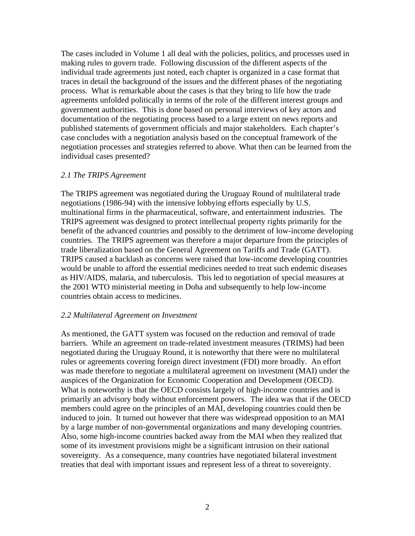The cases included in Volume 1 all deal with the policies, politics, and processes used in making rules to govern trade. Following discussion of the different aspects of the individual trade agreements just noted, each chapter is organized in a case format that traces in detail the background of the issues and the different phases of the negotiating process. What is remarkable about the cases is that they bring to life how the trade agreements unfolded politically in terms of the role of the different interest groups and government authorities. This is done based on personal interviews of key actors and documentation of the negotiating process based to a large extent on news reports and published statements of government officials and major stakeholders. Each chapter's case concludes with a negotiation analysis based on the conceptual framework of the negotiation processes and strategies referred to above. What then can be learned from the individual cases presented?

#### *2.1 The TRIPS Agreement*

The TRIPS agreement was negotiated during the Uruguay Round of multilateral trade negotiations (1986-94) with the intensive lobbying efforts especially by U.S. multinational firms in the pharmaceutical, software, and entertainment industries. The TRIPS agreement was designed to protect intellectual property rights primarily for the benefit of the advanced countries and possibly to the detriment of low-income developing countries. The TRIPS agreement was therefore a major departure from the principles of trade liberalization based on the General Agreement on Tariffs and Trade (GATT). TRIPS caused a backlash as concerns were raised that low-income developing countries would be unable to afford the essential medicines needed to treat such endemic diseases as HIV/AIDS, malaria, and tuberculosis. This led to negotiation of special measures at the 2001 WTO ministerial meeting in Doha and subsequently to help low-income countries obtain access to medicines.

#### *2.2 Multilateral Agreement on Investment*

As mentioned, the GATT system was focused on the reduction and removal of trade barriers. While an agreement on trade-related investment measures (TRIMS) had been negotiated during the Uruguay Round, it is noteworthy that there were no multilateral rules or agreements covering foreign direct investment (FDI) more broadly. An effort was made therefore to negotiate a multilateral agreement on investment (MAI) under the auspices of the Organization for Economic Cooperation and Development (OECD). What is noteworthy is that the OECD consists largely of high-income countries and is primarily an advisory body without enforcement powers. The idea was that if the OECD members could agree on the principles of an MAI, developing countries could then be induced to join. It turned out however that there was widespread opposition to an MAI by a large number of non-governmental organizations and many developing countries. Also, some high-income countries backed away from the MAI when they realized that some of its investment provisions might be a significant intrusion on their national sovereignty. As a consequence, many countries have negotiated bilateral investment treaties that deal with important issues and represent less of a threat to sovereignty.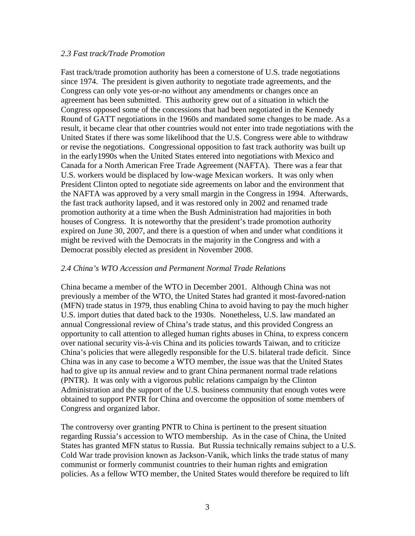### *2.3 Fast track/Trade Promotion*

Fast track/trade promotion authority has been a cornerstone of U.S. trade negotiations since 1974. The president is given authority to negotiate trade agreements, and the Congress can only vote yes-or-no without any amendments or changes once an agreement has been submitted. This authority grew out of a situation in which the Congress opposed some of the concessions that had been negotiated in the Kennedy Round of GATT negotiations in the 1960s and mandated some changes to be made. As a result, it became clear that other countries would not enter into trade negotiations with the United States if there was some likelihood that the U.S. Congress were able to withdraw or revise the negotiations. Congressional opposition to fast track authority was built up in the early1990s when the United States entered into negotiations with Mexico and Canada for a North American Free Trade Agreement (NAFTA). There was a fear that U.S. workers would be displaced by low-wage Mexican workers. It was only when President Clinton opted to negotiate side agreements on labor and the environment that the NAFTA was approved by a very small margin in the Congress in 1994. Afterwards, the fast track authority lapsed, and it was restored only in 2002 and renamed trade promotion authority at a time when the Bush Administration had majorities in both houses of Congress. It is noteworthy that the president's trade promotion authority expired on June 30, 2007, and there is a question of when and under what conditions it might be revived with the Democrats in the majority in the Congress and with a Democrat possibly elected as president in November 2008.

## *2.4 China's WTO Accession and Permanent Normal Trade Relations*

China became a member of the WTO in December 2001. Although China was not previously a member of the WTO, the United States had granted it most-favored-nation (MFN) trade status in 1979, thus enabling China to avoid having to pay the much higher U.S. import duties that dated back to the 1930s. Nonetheless, U.S. law mandated an annual Congressional review of China's trade status, and this provided Congress an opportunity to call attention to alleged human rights abuses in China, to express concern over national security vis-à-vis China and its policies towards Taiwan, and to criticize China's policies that were allegedly responsible for the U.S. bilateral trade deficit. Since China was in any case to become a WTO member, the issue was that the United States had to give up its annual review and to grant China permanent normal trade relations (PNTR). It was only with a vigorous public relations campaign by the Clinton Administration and the support of the U.S. business community that enough votes were obtained to support PNTR for China and overcome the opposition of some members of Congress and organized labor.

The controversy over granting PNTR to China is pertinent to the present situation regarding Russia's accession to WTO membership. As in the case of China, the United States has granted MFN status to Russia. But Russia technically remains subject to a U.S. Cold War trade provision known as Jackson-Vanik, which links the trade status of many communist or formerly communist countries to their human rights and emigration policies. As a fellow WTO member, the United States would therefore be required to lift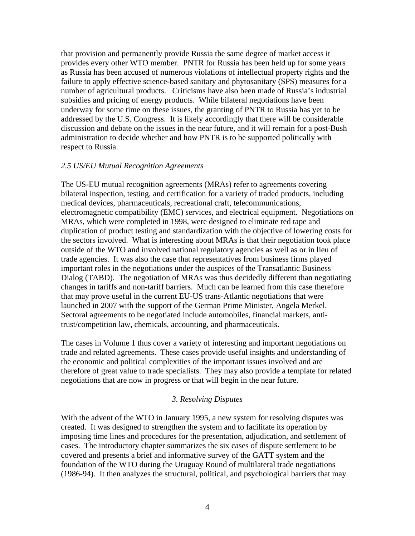that provision and permanently provide Russia the same degree of market access it provides every other WTO member. PNTR for Russia has been held up for some years as Russia has been accused of numerous violations of intellectual property rights and the failure to apply effective science-based sanitary and phytosanitary (SPS) measures for a number of agricultural products. Criticisms have also been made of Russia's industrial subsidies and pricing of energy products. While bilateral negotiations have been underway for some time on these issues, the granting of PNTR to Russia has yet to be addressed by the U.S. Congress. It is likely accordingly that there will be considerable discussion and debate on the issues in the near future, and it will remain for a post-Bush administration to decide whether and how PNTR is to be supported politically with respect to Russia.

#### *2.5 US/EU Mutual Recognition Agreements*

The US-EU mutual recognition agreements (MRAs) refer to agreements covering bilateral inspection, testing, and certification for a variety of traded products, including medical devices, pharmaceuticals, recreational craft, telecommunications, electromagnetic compatibility (EMC) services, and electrical equipment. Negotiations on MRAs, which were completed in 1998, were designed to eliminate red tape and duplication of product testing and standardization with the objective of lowering costs for the sectors involved. What is interesting about MRAs is that their negotiation took place outside of the WTO and involved national regulatory agencies as well as or in lieu of trade agencies. It was also the case that representatives from business firms played important roles in the negotiations under the auspices of the Transatlantic Business Dialog (TABD). The negotiation of MRAs was thus decidedly different than negotiating changes in tariffs and non-tariff barriers. Much can be learned from this case therefore that may prove useful in the current EU-US trans-Atlantic negotiations that were launched in 2007 with the support of the German Prime Minister, Angela Merkel. Sectoral agreements to be negotiated include automobiles, financial markets, antitrust/competition law, chemicals, accounting, and pharmaceuticals.

The cases in Volume 1 thus cover a variety of interesting and important negotiations on trade and related agreements. These cases provide useful insights and understanding of the economic and political complexities of the important issues involved and are therefore of great value to trade specialists. They may also provide a template for related negotiations that are now in progress or that will begin in the near future.

#### *3. Resolving Disputes*

With the advent of the WTO in January 1995, a new system for resolving disputes was created. It was designed to strengthen the system and to facilitate its operation by imposing time lines and procedures for the presentation, adjudication, and settlement of cases. The introductory chapter summarizes the six cases of dispute settlement to be covered and presents a brief and informative survey of the GATT system and the foundation of the WTO during the Uruguay Round of multilateral trade negotiations (1986-94). It then analyzes the structural, political, and psychological barriers that may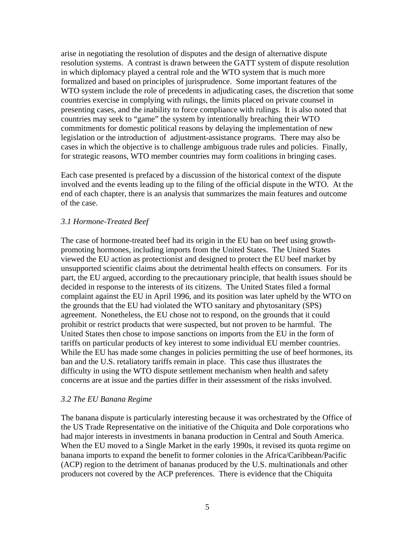arise in negotiating the resolution of disputes and the design of alternative dispute resolution systems. A contrast is drawn between the GATT system of dispute resolution in which diplomacy played a central role and the WTO system that is much more formalized and based on principles of jurisprudence. Some important features of the WTO system include the role of precedents in adjudicating cases, the discretion that some countries exercise in complying with rulings, the limits placed on private counsel in presenting cases, and the inability to force compliance with rulings. It is also noted that countries may seek to "game" the system by intentionally breaching their WTO commitments for domestic political reasons by delaying the implementation of new legislation or the introduction of adjustment-assistance programs. There may also be cases in which the objective is to challenge ambiguous trade rules and policies. Finally, for strategic reasons, WTO member countries may form coalitions in bringing cases.

Each case presented is prefaced by a discussion of the historical context of the dispute involved and the events leading up to the filing of the official dispute in the WTO. At the end of each chapter, there is an analysis that summarizes the main features and outcome of the case.

## *3.1 Hormone-Treated Beef*

The case of hormone-treated beef had its origin in the EU ban on beef using growthpromoting hormones, including imports from the United States. The United States viewed the EU action as protectionist and designed to protect the EU beef market by unsupported scientific claims about the detrimental health effects on consumers. For its part, the EU argued, according to the precautionary principle, that health issues should be decided in response to the interests of its citizens. The United States filed a formal complaint against the EU in April 1996, and its position was later upheld by the WTO on the grounds that the EU had violated the WTO sanitary and phytosanitary (SPS) agreement. Nonetheless, the EU chose not to respond, on the grounds that it could prohibit or restrict products that were suspected, but not proven to be harmful. The United States then chose to impose sanctions on imports from the EU in the form of tariffs on particular products of key interest to some individual EU member countries. While the EU has made some changes in policies permitting the use of beef hormones, its ban and the U.S. retaliatory tariffs remain in place. This case thus illustrates the difficulty in using the WTO dispute settlement mechanism when health and safety concerns are at issue and the parties differ in their assessment of the risks involved.

## *3.2 The EU Banana Regime*

The banana dispute is particularly interesting because it was orchestrated by the Office of the US Trade Representative on the initiative of the Chiquita and Dole corporations who had major interests in investments in banana production in Central and South America. When the EU moved to a Single Market in the early 1990s, it revised its quota regime on banana imports to expand the benefit to former colonies in the Africa/Caribbean/Pacific (ACP) region to the detriment of bananas produced by the U.S. multinationals and other producers not covered by the ACP preferences. There is evidence that the Chiquita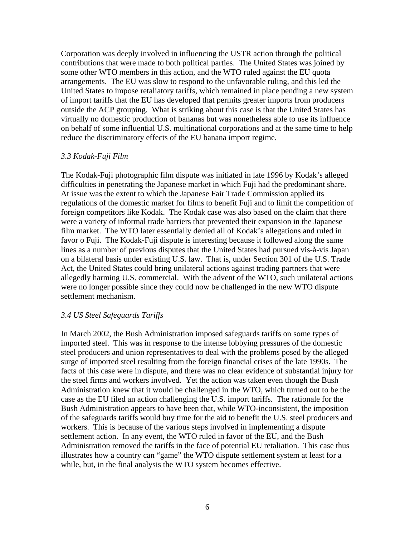Corporation was deeply involved in influencing the USTR action through the political contributions that were made to both political parties. The United States was joined by some other WTO members in this action, and the WTO ruled against the EU quota arrangements. The EU was slow to respond to the unfavorable ruling, and this led the United States to impose retaliatory tariffs, which remained in place pending a new system of import tariffs that the EU has developed that permits greater imports from producers outside the ACP grouping. What is striking about this case is that the United States has virtually no domestic production of bananas but was nonetheless able to use its influence on behalf of some influential U.S. multinational corporations and at the same time to help reduce the discriminatory effects of the EU banana import regime.

### *3.3 Kodak-Fuji Film*

The Kodak-Fuji photographic film dispute was initiated in late 1996 by Kodak's alleged difficulties in penetrating the Japanese market in which Fuji had the predominant share. At issue was the extent to which the Japanese Fair Trade Commission applied its regulations of the domestic market for films to benefit Fuji and to limit the competition of foreign competitors like Kodak. The Kodak case was also based on the claim that there were a variety of informal trade barriers that prevented their expansion in the Japanese film market. The WTO later essentially denied all of Kodak's allegations and ruled in favor o Fuji. The Kodak-Fuji dispute is interesting because it followed along the same lines as a number of previous disputes that the United States had pursued vis-à-vis Japan on a bilateral basis under existing U.S. law. That is, under Section 301 of the U.S. Trade Act, the United States could bring unilateral actions against trading partners that were allegedly harming U.S. commercial. With the advent of the WTO, such unilateral actions were no longer possible since they could now be challenged in the new WTO dispute settlement mechanism.

## *3.4 US Steel Safeguards Tariffs*

In March 2002, the Bush Administration imposed safeguards tariffs on some types of imported steel. This was in response to the intense lobbying pressures of the domestic steel producers and union representatives to deal with the problems posed by the alleged surge of imported steel resulting from the foreign financial crises of the late 1990s. The facts of this case were in dispute, and there was no clear evidence of substantial injury for the steel firms and workers involved. Yet the action was taken even though the Bush Administration knew that it would be challenged in the WTO, which turned out to be the case as the EU filed an action challenging the U.S. import tariffs. The rationale for the Bush Administration appears to have been that, while WTO-inconsistent, the imposition of the safeguards tariffs would buy time for the aid to benefit the U.S. steel producers and workers. This is because of the various steps involved in implementing a dispute settlement action. In any event, the WTO ruled in favor of the EU, and the Bush Administration removed the tariffs in the face of potential EU retaliation. This case thus illustrates how a country can "game" the WTO dispute settlement system at least for a while, but, in the final analysis the WTO system becomes effective.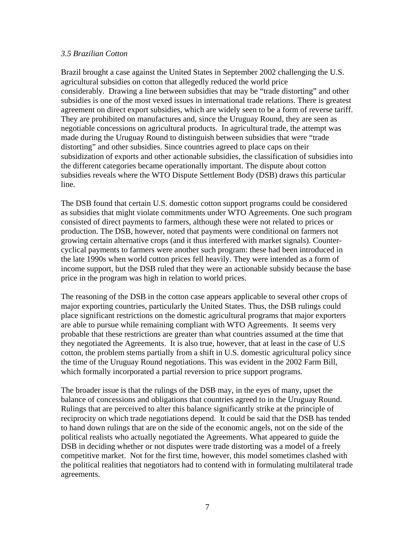## *3.5 Brazilian Cotton*

Brazil brought a case against the United States in September 2002 challenging the U.S. agricultural subsidies on cotton that allegedly reduced the world price considerably. Drawing a line between subsidies that may be "trade distorting" and other subsidies is one of the most vexed issues in international trade relations. There is greatest agreement on direct export subsidies, which are widely seen to be a form of reverse tariff. They are prohibited on manufactures and, since the Uruguay Round, they are seen as negotiable concessions on agricultural products. In agricultural trade, the attempt was made during the Uruguay Round to distinguish between subsidies that were "trade distorting" and other subsidies. Since countries agreed to place caps on their subsidization of exports and other actionable subsidies, the classification of subsidies into the different categories became operationally important. The dispute about cotton subsidies reveals where the WTO Dispute Settlement Body (DSB) draws this particular line.

The DSB found that certain U.S. domestic cotton support programs could be considered as subsidies that might violate commitments under WTO Agreements. One such program consisted of direct payments to farmers, although these were not related to prices or production. The DSB, however, noted that payments were conditional on farmers not growing certain alternative crops (and it thus interfered with market signals). Countercyclical payments to farmers were another such program: these had been introduced in the late 1990s when world cotton prices fell heavily. They were intended as a form of income support, but the DSB ruled that they were an actionable subsidy because the base price in the program was high in relation to world prices.

The reasoning of the DSB in the cotton case appears applicable to several other crops of major exporting countries, particularly the United States. Thus, the DSB rulings could place significant restrictions on the domestic agricultural programs that major exporters are able to pursue while remaining compliant with WTO Agreements. It seems very probable that these restrictions are greater than what countries assumed at the time that they negotiated the Agreements. It is also true, however, that at least in the case of U.S cotton, the problem stems partially from a shift in U.S. domestic agricultural policy since the time of the Uruguay Round negotiations. This was evident in the 2002 Farm Bill, which formally incorporated a partial reversion to price support programs.

The broader issue is that the rulings of the DSB may, in the eyes of many, upset the balance of concessions and obligations that countries agreed to in the Uruguay Round. Rulings that are perceived to alter this balance significantly strike at the principle of reciprocity on which trade negotiations depend. It could be said that the DSB has tended to hand down rulings that are on the side of the economic angels, not on the side of the political realists who actually negotiated the Agreements. What appeared to guide the DSB in deciding whether or not disputes were trade distorting was a model of a freely competitive market. Not for the first time, however, this model sometimes clashed with the political realities that negotiators had to contend with in formulating multilateral trade agreements.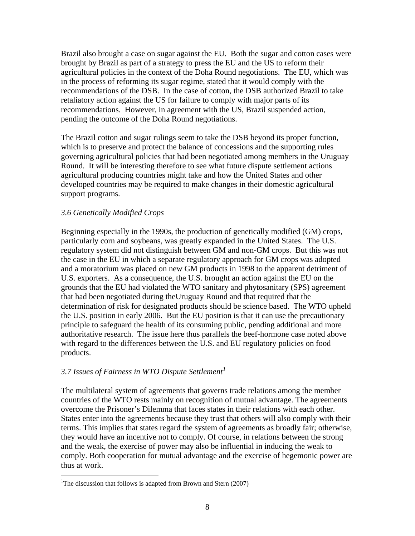Brazil also brought a case on sugar against the EU. Both the sugar and cotton cases were brought by Brazil as part of a strategy to press the EU and the US to reform their agricultural policies in the context of the Doha Round negotiations. The EU, which was in the process of reforming its sugar regime, stated that it would comply with the recommendations of the DSB. In the case of cotton, the DSB authorized Brazil to take retaliatory action against the US for failure to comply with major parts of its recommendations. However, in agreement with the US, Brazil suspended action, pending the outcome of the Doha Round negotiations.

The Brazil cotton and sugar rulings seem to take the DSB beyond its proper function, which is to preserve and protect the balance of concessions and the supporting rules governing agricultural policies that had been negotiated among members in the Uruguay Round. It will be interesting therefore to see what future dispute settlement actions agricultural producing countries might take and how the United States and other developed countries may be required to make changes in their domestic agricultural support programs.

## *3.6 Genetically Modified Crops*

Beginning especially in the 1990s, the production of genetically modified (GM) crops, particularly corn and soybeans, was greatly expanded in the United States. The U.S. regulatory system did not distinguish between GM and non-GM crops. But this was not the case in the EU in which a separate regulatory approach for GM crops was adopted and a moratorium was placed on new GM products in 1998 to the apparent detriment of U.S. exporters. As a consequence, the U.S. brought an action against the EU on the grounds that the EU had violated the WTO sanitary and phytosanitary (SPS) agreement that had been negotiated during theUruguay Round and that required that the determination of risk for designated products should be science based. The WTO upheld the U.S. position in early 2006. But the EU position is that it can use the precautionary principle to safeguard the health of its consuming public, pending additional and more authoritative research. The issue here thus parallels the beef-hormone case noted above with regard to the differences between the U.S. and EU regulatory policies on food products.

## *3.7 Issues of Fairness in WTO Dispute Settlement[1](#page-8-0)*

The multilateral system of agreements that governs trade relations among the member countries of the WTO rests mainly on recognition of mutual advantage. The agreements overcome the Prisoner's Dilemma that faces states in their relations with each other. States enter into the agreements because they trust that others will also comply with their terms. This implies that states regard the system of agreements as broadly fair; otherwise, they would have an incentive not to comply. Of course, in relations between the strong and the weak, the exercise of power may also be influential in inducing the weak to comply. Both cooperation for mutual advantage and the exercise of hegemonic power are thus at work.

 $\overline{a}$ 

<span id="page-8-0"></span><sup>&</sup>lt;sup>1</sup>The discussion that follows is adapted from Brown and Stern  $(2007)$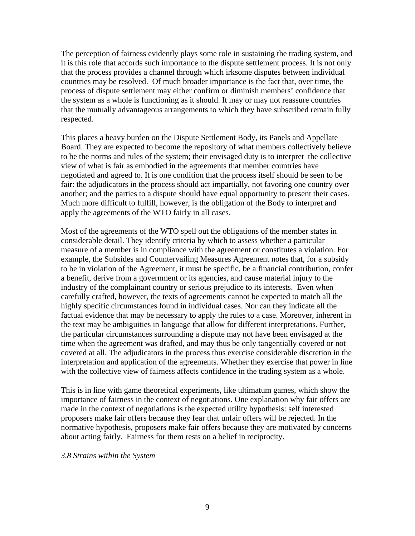The perception of fairness evidently plays some role in sustaining the trading system, and it is this role that accords such importance to the dispute settlement process. It is not only that the process provides a channel through which irksome disputes between individual countries may be resolved. Of much broader importance is the fact that, over time, the process of dispute settlement may either confirm or diminish members' confidence that the system as a whole is functioning as it should. It may or may not reassure countries that the mutually advantageous arrangements to which they have subscribed remain fully respected.

This places a heavy burden on the Dispute Settlement Body, its Panels and Appellate Board. They are expected to become the repository of what members collectively believe to be the norms and rules of the system; their envisaged duty is to interpret the collective view of what is fair as embodied in the agreements that member countries have negotiated and agreed to. It is one condition that the process itself should be seen to be fair: the adjudicators in the process should act impartially, not favoring one country over another; and the parties to a dispute should have equal opportunity to present their cases. Much more difficult to fulfill, however, is the obligation of the Body to interpret and apply the agreements of the WTO fairly in all cases.

Most of the agreements of the WTO spell out the obligations of the member states in considerable detail. They identify criteria by which to assess whether a particular measure of a member is in compliance with the agreement or constitutes a violation. For example, the Subsides and Countervailing Measures Agreement notes that, for a subsidy to be in violation of the Agreement, it must be specific, be a financial contribution, confer a benefit, derive from a government or its agencies, and cause material injury to the industry of the complainant country or serious prejudice to its interests. Even when carefully crafted, however, the texts of agreements cannot be expected to match all the highly specific circumstances found in individual cases. Nor can they indicate all the factual evidence that may be necessary to apply the rules to a case. Moreover, inherent in the text may be ambiguities in language that allow for different interpretations. Further, the particular circumstances surrounding a dispute may not have been envisaged at the time when the agreement was drafted, and may thus be only tangentially covered or not covered at all. The adjudicators in the process thus exercise considerable discretion in the interpretation and application of the agreements. Whether they exercise that power in line with the collective view of fairness affects confidence in the trading system as a whole.

This is in line with game theoretical experiments, like ultimatum games, which show the importance of fairness in the context of negotiations. One explanation why fair offers are made in the context of negotiations is the expected utility hypothesis: self interested proposers make fair offers because they fear that unfair offers will be rejected. In the normative hypothesis, proposers make fair offers because they are motivated by concerns about acting fairly. Fairness for them rests on a belief in reciprocity.

*3.8 Strains within the System*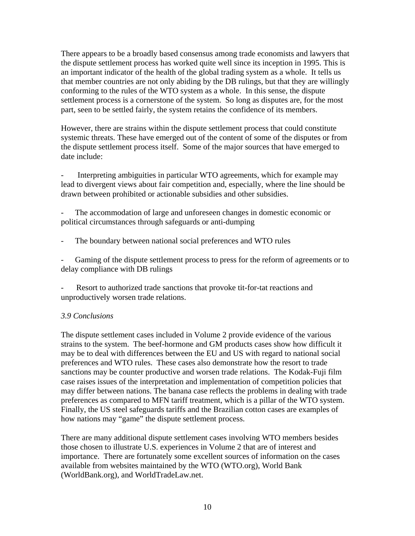There appears to be a broadly based consensus among trade economists and lawyers that the dispute settlement process has worked quite well since its inception in 1995. This is an important indicator of the health of the global trading system as a whole. It tells us that member countries are not only abiding by the DB rulings, but that they are willingly conforming to the rules of the WTO system as a whole. In this sense, the dispute settlement process is a cornerstone of the system. So long as disputes are, for the most part, seen to be settled fairly, the system retains the confidence of its members.

However, there are strains within the dispute settlement process that could constitute systemic threats. These have emerged out of the content of some of the disputes or from the dispute settlement process itself. Some of the major sources that have emerged to date include:

Interpreting ambiguities in particular WTO agreements, which for example may lead to divergent views about fair competition and, especially, where the line should be drawn between prohibited or actionable subsidies and other subsidies.

The accommodation of large and unforeseen changes in domestic economic or political circumstances through safeguards or anti-dumping

The boundary between national social preferences and WTO rules

Gaming of the dispute settlement process to press for the reform of agreements or to delay compliance with DB rulings

Resort to authorized trade sanctions that provoke tit-for-tat reactions and unproductively worsen trade relations.

## *3.9 Conclusions*

The dispute settlement cases included in Volume 2 provide evidence of the various strains to the system. The beef-hormone and GM products cases show how difficult it may be to deal with differences between the EU and US with regard to national social preferences and WTO rules. These cases also demonstrate how the resort to trade sanctions may be counter productive and worsen trade relations. The Kodak-Fuji film case raises issues of the interpretation and implementation of competition policies that may differ between nations. The banana case reflects the problems in dealing with trade preferences as compared to MFN tariff treatment, which is a pillar of the WTO system. Finally, the US steel safeguards tariffs and the Brazilian cotton cases are examples of how nations may "game" the dispute settlement process.

There are many additional dispute settlement cases involving WTO members besides those chosen to illustrate U.S. experiences in Volume 2 that are of interest and importance. There are fortunately some excellent sources of information on the cases available from websites maintained by the WTO (WTO.org), World Bank (WorldBank.org), and WorldTradeLaw.net.